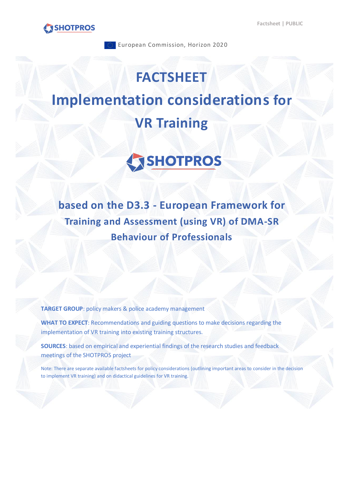



European Commission, Horizon 2020

# **FACTSHEET Implementation considerations for VR Training**



**based on the D3.3 - European Framework for Training and Assessment (using VR) of DMA-SR Behaviour of Professionals** 

**TARGET GROUP**: policy makers & police academy management

**WHAT TO EXPECT**: Recommendations and guiding questions to make decisions regarding the implementation of VR training into existing training structures.

**SOURCES**: based on empirical and experiential findings of the research studies and feedback meetings of the SHOTPROS project

Note: There are separate available factsheets for policy considerations (outlining important areas to consider in the decision to implement VR training) and on didactical guidelines for VR training.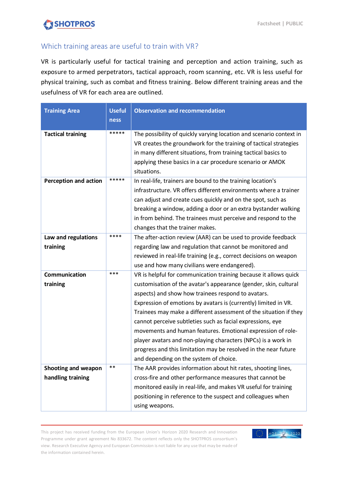# SHOTPROS

## Which training areas are useful to train with VR?

VR is particularly useful for tactical training and perception and action training, such as exposure to armed perpetrators, tactical approach, room scanning, etc. VR is less useful for physical training, such as combat and fitness training. Below different training areas and the usefulness of VR for each area are outlined.

| <b>Training Area</b>                     | <b>Useful</b><br>ness | <b>Observation and recommendation</b>                                                                                                                                                                                                                                                                                                                                                                                                                                                                                                                                                                                                         |
|------------------------------------------|-----------------------|-----------------------------------------------------------------------------------------------------------------------------------------------------------------------------------------------------------------------------------------------------------------------------------------------------------------------------------------------------------------------------------------------------------------------------------------------------------------------------------------------------------------------------------------------------------------------------------------------------------------------------------------------|
| <b>Tactical training</b>                 | *****                 | The possibility of quickly varying location and scenario context in<br>VR creates the groundwork for the training of tactical strategies<br>in many different situations, from training tactical basics to<br>applying these basics in a car procedure scenario or AMOK<br>situations.                                                                                                                                                                                                                                                                                                                                                        |
| <b>Perception and action</b>             | *****                 | In real-life, trainers are bound to the training location's<br>infrastructure. VR offers different environments where a trainer<br>can adjust and create cues quickly and on the spot, such as<br>breaking a window, adding a door or an extra bystander walking<br>in from behind. The trainees must perceive and respond to the<br>changes that the trainer makes.                                                                                                                                                                                                                                                                          |
| Law and regulations<br>training          | ****                  | The after-action review (AAR) can be used to provide feedback<br>regarding law and regulation that cannot be monitored and<br>reviewed in real-life training (e.g., correct decisions on weapon<br>use and how many civilians were endangered).                                                                                                                                                                                                                                                                                                                                                                                               |
| Communication<br>training                | ***                   | VR is helpful for communication training because it allows quick<br>customisation of the avatar's appearance (gender, skin, cultural<br>aspects) and show how trainees respond to avatars.<br>Expression of emotions by avatars is (currently) limited in VR.<br>Trainees may make a different assessment of the situation if they<br>cannot perceive subtleties such as facial expressions, eye<br>movements and human features. Emotional expression of role-<br>player avatars and non-playing characters (NPCs) is a work in<br>progress and this limitation may be resolved in the near future<br>and depending on the system of choice. |
| Shooting and weapon<br>handling training | $***$                 | The AAR provides information about hit rates, shooting lines,<br>cross-fire and other performance measures that cannot be<br>monitored easily in real-life, and makes VR useful for training<br>positioning in reference to the suspect and colleagues when<br>using weapons.                                                                                                                                                                                                                                                                                                                                                                 |

This project has received funding from the European Union's Horizon 2020 Research and Innovation Programme under grant agreement No 833672. The content reflects only the SHOTPROS consortium's view. Research Executive Agency and European Commission is not liable for any use that may be made of the information contained herein.

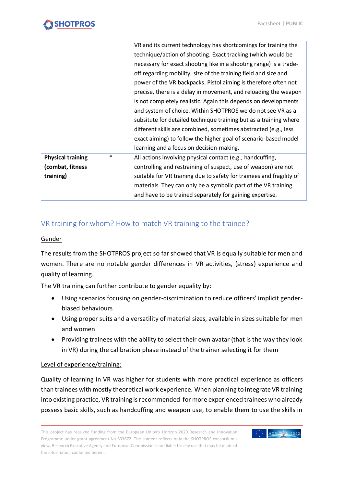|                          |        | VR and its current technology has shortcomings for training the      |
|--------------------------|--------|----------------------------------------------------------------------|
|                          |        | technique/action of shooting. Exact tracking (which would be         |
|                          |        | necessary for exact shooting like in a shooting range) is a trade-   |
|                          |        | off regarding mobility, size of the training field and size and      |
|                          |        | power of the VR backpacks. Pistol aiming is therefore often not      |
|                          |        | precise, there is a delay in movement, and reloading the weapon      |
|                          |        | is not completely realistic. Again this depends on developments      |
|                          |        | and system of choice. Within SHOTPROS we do not see VR as a          |
|                          |        | subsitute for detailed technique training but as a training where    |
|                          |        | different skills are combined, sometimes abstracted (e.g., less      |
|                          |        | exact aiming) to follow the higher goal of scenario-based model      |
|                          |        | learning and a focus on decision-making.                             |
| <b>Physical training</b> | $\ast$ | All actions involving physical contact (e.g., handcuffing,           |
| (combat, fitness         |        | controlling and restraining of suspect, use of weapon) are not       |
| training)                |        | suitable for VR training due to safety for trainees and fragility of |
|                          |        | materials. They can only be a symbolic part of the VR training       |
|                          |        | and have to be trained separately for gaining expertise.             |

## VR training for whom? How to match VR training to the trainee?

#### Gender

The results from the SHOTPROS project so far showed that VR is equally suitable for men and women. There are no notable gender differences in VR activities, (stress) experience and quality of learning.

The VR training can further contribute to gender equality by:

- Using scenarios focusing on gender-discrimination to reduce officers' implicit genderbiased behaviours
- Using proper suits and a versatility of material sizes, available in sizes suitable for men and women
- Providing trainees with the ability to select their own avatar (that is the way they look in VR) during the calibration phase instead of the trainer selecting it for them

#### Level of experience/training:

Quality of learning in VR was higher for students with more practical experience as officers than trainees with mostly theoretical work experience. When planning to integrate VR training into existing practice, VR training is recommended for more experienced trainees who already possess basic skills, such as handcuffing and weapon use, to enable them to use the skills in

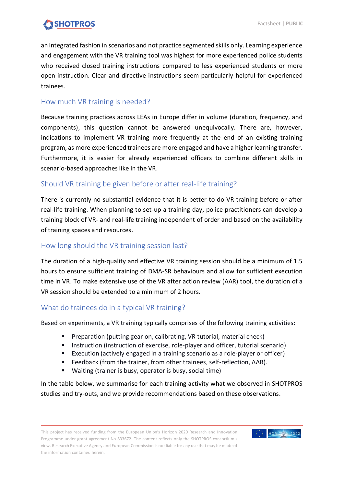

an integrated fashion in scenarios and not practice segmented skills only. Learning experience and engagement with the VR training tool was highest for more experienced police students who received closed training instructions compared to less experienced students or more open instruction. Clear and directive instructions seem particularly helpful for experienced trainees.

#### How much VR training is needed?

Because training practices across LEAs in Europe differ in volume (duration, frequency, and components), this question cannot be answered unequivocally. There are, however, indications to implement VR training more frequently at the end of an existing training program, as more experienced trainees are more engaged and have a higher learning transfer. Furthermore, it is easier for already experienced officers to combine different skills in scenario-based approaches like in the VR.

### Should VR training be given before or after real-life training?

There is currently no substantial evidence that it is better to do VR training before or after real-life training. When planning to set-up a training day, police practitioners can develop a training block of VR- and real-life training independent of order and based on the availability of training spaces and resources.

#### How long should the VR training session last?

The duration of a high-quality and effective VR training session should be a minimum of 1.5 hours to ensure sufficient training of DMA-SR behaviours and allow for sufficient execution time in VR. To make extensive use of the VR after action review (AAR) tool, the duration of a VR session should be extended to a minimum of 2 hours.

#### What do trainees do in a typical VR training?

Based on experiments, a VR training typically comprises of the following training activities:

- Preparation (putting gear on, calibrating, VR tutorial, material check)
- **Instruction (instruction of exercise, role-player and officer, tutorial scenario)**
- Execution (actively engaged in a training scenario as a role-player or officer)
- Feedback (from the trainer, from other trainees, self-reflection, AAR).
- Waiting (trainer is busy, operator is busy, social time)

In the table below, we summarise for each training activity what we observed in SHOTPROS studies and try-outs, and we provide recommendations based on these observations.

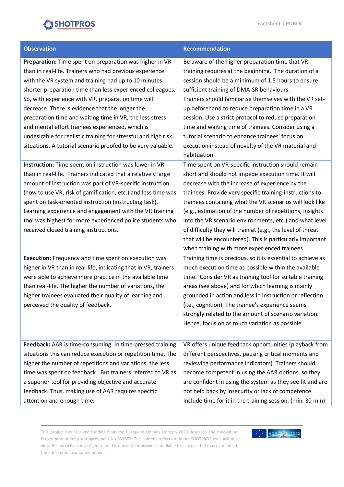# SHOTPROS

| <b>Observation</b>                                                                                                                                                                                                                                                                                                                                                                                                                                                                                                                                                                                  | Recommendation                                                                                                                                                                                                                                                                                                                                                                                                                                                                                                                                                                            |
|-----------------------------------------------------------------------------------------------------------------------------------------------------------------------------------------------------------------------------------------------------------------------------------------------------------------------------------------------------------------------------------------------------------------------------------------------------------------------------------------------------------------------------------------------------------------------------------------------------|-------------------------------------------------------------------------------------------------------------------------------------------------------------------------------------------------------------------------------------------------------------------------------------------------------------------------------------------------------------------------------------------------------------------------------------------------------------------------------------------------------------------------------------------------------------------------------------------|
| Preparation: Time spent on preparation was higher in VR<br>than in real-life. Trainers who had previous experience<br>with the VR system and training had up to 10 minutes<br>shorter preparation time than less experienced colleagues.<br>So, with experience with VR, preparation time will<br>decrease. There is evidence that the longer the<br>preparation time and waiting time in VR, the less stress<br>and mental effort trainees experienced, which is<br>undesirable for realistic training for stressful and high risk<br>situations. A tutorial scenario proofed to be very valuable. | Be aware of the higher preparation time that VR<br>training requires at the beginning. The duration of a<br>session should be a minimum of 1.5 hours to ensure<br>sufficient training of DMA-SR behaviours.<br>Trainers should familiarise themselves with the VR set-<br>up beforehand to reduce preparation time in a VR<br>session. Use a strict protocol to reduce preparation<br>time and waiting time of trainees. Consider using a<br>tutorial scenario to enhance trainees' focus on<br>execution instead of novelty of the VR material and<br>habituation.                       |
| Instruction: Time spent on instruction was lower in VR<br>than in real-life. Trainers indicated that a relatively large<br>amount of instruction was part of VR-specific instruction<br>(how to use VR, risk of gamification, etc.) and less time was<br>spent on task-oriented instruction (instructing task).<br>Learning experience and engagement with the VR training<br>tool was highest for more experienced police students who<br>received closed training instructions.                                                                                                                   | Time spent on VR-specific instruction should remain<br>short and should not impede execution time. It will<br>decrease with the increase of experience by the<br>trainees. Provide very specific training-instructions to<br>trainees containing what the VR scenarios will look like<br>(e.g., estimation of the number of repetitions, insights<br>into the VR scenario environments, etc.) and what level<br>of difficulty they will train at (e.g., the level of threat<br>that will be encountered). This is particularly important<br>when training with more experienced trainees. |
| <b>Execution:</b> Frequency and time spent on execution was<br>higher in VR than in real-life, indicating that in VR, trainers<br>were able to achieve more practice in the available time<br>than real-life. The higher the number of variations, the<br>higher trainees evaluated their quality of learning and<br>perceived the quality of feedback.                                                                                                                                                                                                                                             | Training time is precious, so it is essential to achieve as<br>much execution time as possible within the available<br>time. Consider VR as training tool for suitable training<br>areas (see above) and for which learning is mainly<br>grounded in action and less in instruction or reflection<br>(i.e., cognition). The trainee's experience seems<br>strongly related to the amount of scenario variation.<br>Hence, focus on as much variation as possible.                                                                                                                         |
| Feedback: AAR is time-consuming. In time-pressed training<br>situations this can reduce execution or repetition time. The<br>higher the number of repetitions and variations, the less<br>time was spent on feedback. But trainers referred to VR as<br>a superior tool for providing objective and accurate<br>feedback. Thus, making use of AAR requires specific<br>attention and enough time.                                                                                                                                                                                                   | VR offers unique feedback opportunities (playback from<br>different perspectives, pausing critical moments and<br>reviewing performance indicators). Trainers should<br>become competent in using the AAR options, so they<br>are confident in using the system as they see fit and are<br>not held back by insecurity or lack of competence.<br>Include time for it in the training session. (min. 30 min)                                                                                                                                                                               |

This project has received funding from the European Union's Horizon 2020 Research and Innovation Programme under grant agreement No 833672. The content reflects only the SHOTPROS consortium's view. Research Executive Agency and European Commission is not liable for any use that may be made of the information contained herein.